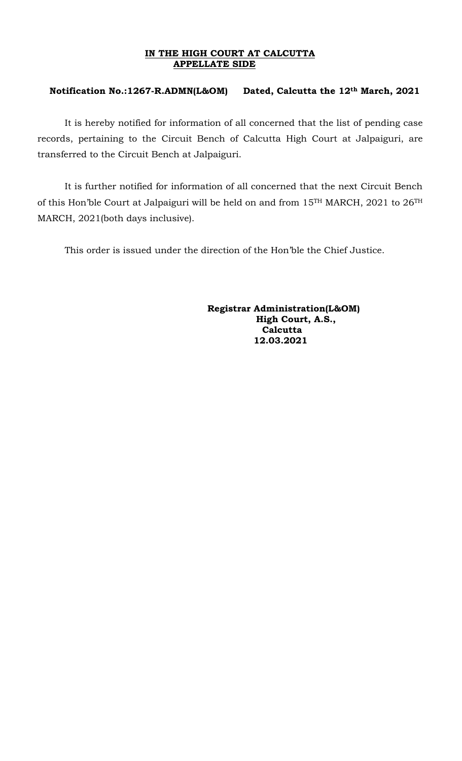## **IN THE HIGH COURT AT CALCUTTA APPELLATE SIDE**

## **Notification No.:1267-R.ADMN(L&OM) Dated, Calcutta the 12th March, 2021**

It is hereby notified for information of all concerned that the list of pending case records, pertaining to the Circuit Bench of Calcutta High Court at Jalpaiguri, are transferred to the Circuit Bench at Jalpaiguri.

It is further notified for information of all concerned that the next Circuit Bench of this Hon'ble Court at Jalpaiguri will be held on and from 15TH MARCH, 2021 to 26TH MARCH, 2021(both days inclusive).

This order is issued under the direction of the Hon'ble the Chief Justice.

 **Registrar Administration(L&OM) High Court, A.S., Calcutta 12.03.2021**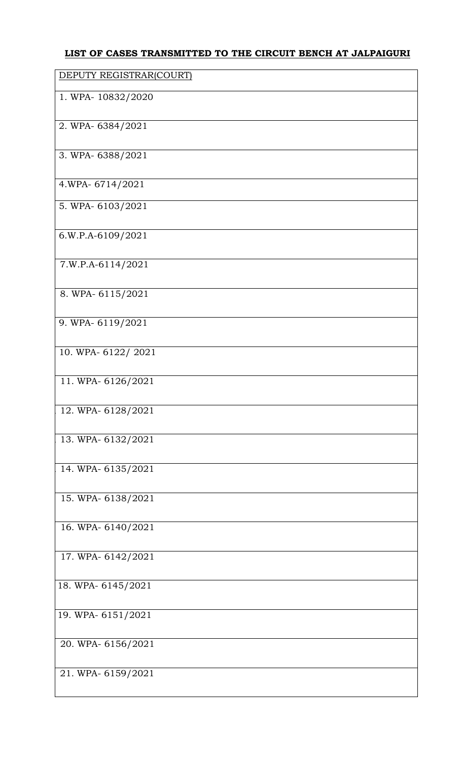## **LIST OF CASES TRANSMITTED TO THE CIRCUIT BENCH AT JALPAIGURI**

| DEPUTY REGISTRAR(COURT) |
|-------------------------|
| 1. WPA-10832/2020       |
| 2. WPA-6384/2021        |
| 3. WPA-6388/2021        |
| 4.WPA-6714/2021         |
| 5. WPA-6103/2021        |
| 6.W.P.A-6109/2021       |
| 7.W.P.A-6114/2021       |
| 8. WPA-6115/2021        |
| 9. WPA-6119/2021        |
| 10. WPA-6122/2021       |
| 11. WPA-6126/2021       |
| 12. WPA-6128/2021       |
| 13. WPA-6132/2021       |
| 14. WPA- 6135/2021      |
| 15. WPA-6138/2021       |
|                         |
| 16. WPA-6140/2021       |
| 17. WPA- 6142/2021      |
| 18. WPA-6145/2021       |
| 19. WPA-6151/2021       |
| 20. WPA-6156/2021       |
| 21. WPA-6159/2021       |
|                         |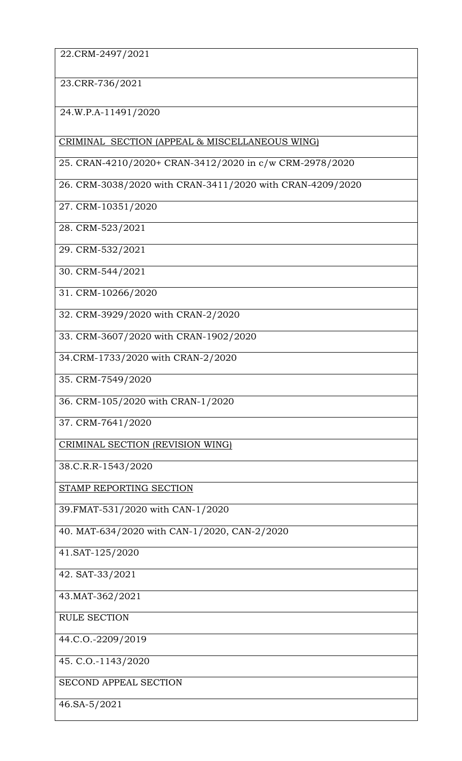22.CRM-2497/2021

23.CRR-736/2021

2 24.W.P.A-11491/2020

CRIMINAL SECTION (APPEAL & MISCELLANEOUS WING)

25. CRAN-4210/2020+ CRAN-3412/2020 in c/w CRM-2978/2020

26. CRM-3038/2020 with CRAN-3411/2020 with CRAN-4209/2020

27. CRM-10351/2020

28. CRM-523/2021

29. CRM-532/2021

30. CRM-544/2021

31. CRM-10266/2020

32. CRM-3929/2020 with CRAN-2/2020

33. CRM-3607/2020 with CRAN-1902/2020

34.CRM-1733/2020 with CRAN-2/2020

35. CRM-7549/2020

36. CRM-105/2020 with CRAN-1/2020

37. CRM-7641/2020

CRIMINAL SECTION (REVISION WING)

38.C.R.R-1543/2020

STAMP REPORTING SECTION

39.FMAT-531/2020 with CAN-1/2020

40. MAT-634/2020 with CAN-1/2020, CAN-2/2020

41.SAT-125/2020

42. SAT-33/2021

43.MAT-362/2021

RULE SECTION

44.C.O.-2209/2019

45. C.O.-1143/2020

SECOND APPEAL SECTION

46.SA-5/2021